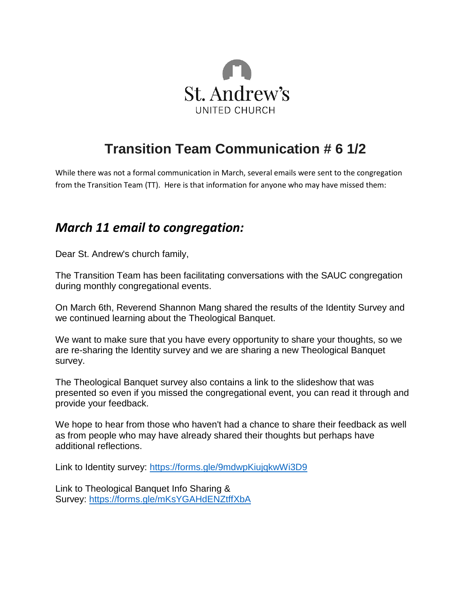

## **Transition Team Communication # 6 1/2**

While there was not a formal communication in March, several emails were sent to the congregation from the Transition Team (TT). Here is that information for anyone who may have missed them:

## *March 11 email to congregation:*

Dear St. Andrew's church family,

The Transition Team has been facilitating conversations with the SAUC congregation during monthly congregational events.

On March 6th, Reverend Shannon Mang shared the results of the Identity Survey and we continued learning about the Theological Banquet.

We want to make sure that you have every opportunity to share your thoughts, so we are re-sharing the Identity survey and we are sharing a new Theological Banquet survey.

The Theological Banquet survey also contains a link to the slideshow that was presented so even if you missed the congregational event, you can read it through and provide your feedback.

We hope to hear from those who haven't had a chance to share their feedback as well as from people who may have already shared their thoughts but perhaps have additional reflections.

Link to Identity survey: <https://forms.gle/9mdwpKiujqkwWi3D9>

Link to Theological Banquet Info Sharing & Survey: <https://forms.gle/mKsYGAHdENZtffXbA>